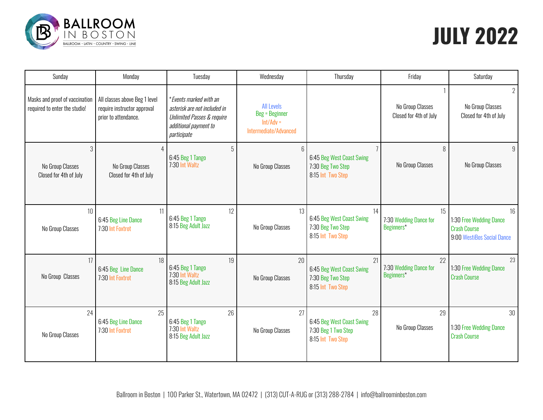

# **JULY 2022**

| Sunday                                                          | Monday                                                                               | Tuesday                                                                                                                                 | Wednesday                                                                   | Thursday                                                                              | Friday                                     | Saturday                                                                           |
|-----------------------------------------------------------------|--------------------------------------------------------------------------------------|-----------------------------------------------------------------------------------------------------------------------------------------|-----------------------------------------------------------------------------|---------------------------------------------------------------------------------------|--------------------------------------------|------------------------------------------------------------------------------------|
| Masks and proof of vaccination<br>required to enter the studio! | All classes above Beg 1 level<br>require instructor approval<br>prior to attendance. | *Events marked with an<br>asterisk are not included in<br><b>Unlimited Passes &amp; require</b><br>additional payment to<br>participate | <b>All Levels</b><br>Beg = Beginner<br>$Int/Adv =$<br>Intermediate/Advanced |                                                                                       | No Group Classes<br>Closed for 4th of July | $\overline{2}$<br>No Group Classes<br>Closed for 4th of July                       |
| 3<br>No Group Classes<br>Closed for 4th of July                 | No Group Classes<br>Closed for 4th of July                                           | 5<br>6:45 Beg 1 Tango<br>7:30 Int Waltz                                                                                                 | 6<br>No Group Classes                                                       | $\overline{1}$<br>6:45 Beg West Coast Swing<br>7:30 Beg Two Step<br>8:15 Int Two Step | 8<br>No Group Classes                      | 9<br>No Group Classes                                                              |
| 10<br>No Group Classes                                          | 11<br>6:45 Beg Line Dance<br>7:30 Int Foxtrot                                        | 12<br>6:45 Beg 1 Tango<br>8:15 Beg Adult Jazz                                                                                           | 13<br>No Group Classes                                                      | 14<br>6:45 Beg West Coast Swing<br>7:30 Beg Two Step<br>8:15 Int Two Step             | 15<br>7:30 Wedding Dance for<br>Beginners* | 16<br>1:30 Free Wedding Dance<br><b>Crash Course</b><br>9:00 WestiBos Social Dance |
| 17<br>No Group Classes                                          | 18<br>6:45 Beg Line Dance<br>7:30 Int Foxtrot                                        | 19<br>6:45 Beg 1 Tango<br>7:30 Int Waltz<br>8:15 Beg Adult Jazz                                                                         | 20<br>No Group Classes                                                      | 21<br>6:45 Beg West Coast Swing<br>7:30 Beg Two Step<br>8:15 Int Two Step             | 22<br>7:30 Wedding Dance for<br>Beginners* | 23<br>1:30 Free Wedding Dance<br><b>Crash Course</b>                               |
| 24<br>No Group Classes                                          | 25<br>6:45 Beg Line Dance<br>7:30 Int Foxtrot                                        | 26<br>6:45 Beg 1 Tango<br>7:30 Int Waltz<br>8:15 Beg Adult Jazz                                                                         | 27<br>No Group Classes                                                      | 28<br>6:45 Beg West Coast Swing<br>7:30 Beg 1 Two Step<br>8:15 Int Two Step           | 29<br>No Group Classes                     | 30<br>1:30 Free Wedding Dance<br><b>Crash Course</b>                               |